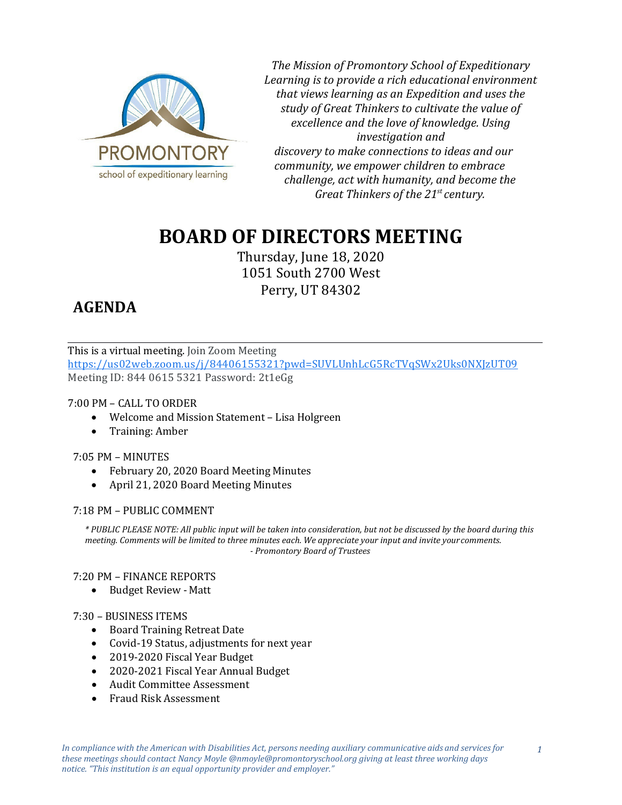

*The Mission of Promontory School of Expeditionary Learning is to provide a rich educational environment that views learning as an Expedition and uses the study of Great Thinkers to cultivate the value of excellence and the love of knowledge. Using investigation and discovery to make connections to ideas and our community, we empower children to embrace challenge, act with humanity, and become the Great Thinkers of the 21st century.*

# **BOARD OF DIRECTORS MEETING**

Thursday, June 18, 2020 1051 South 2700 West Perry, UT 84302

## **AGENDA**

This is a virtual meeting. Join Zoom Meeting [https://us02web.zoom.us/j/84406155321?pwd=SUVLUnhLcG5RcTVqSWx2Uks0NXJzUT09](https://www.google.com/url?q=https://us02web.zoom.us/j/84406155321?pwd%3DSUVLUnhLcG5RcTVqSWx2Uks0NXJzUT09&sa=D&ust=1592687308152000&usg=AOvVaw0Z8uSKKf2AF4xw2RKTZFKL) Meeting ID: 844 0615 5321 Password: 2t1eGg

## 7:00 PM – CALL TO ORDER

- Welcome and Mission Statement Lisa Holgreen
- Training: Amber

## 7:05 PM – MINUTES

- February 20, 2020 Board Meeting Minutes
- April 21, 2020 Board Meeting Minutes

## 7:18 PM – PUBLIC COMMENT

*\* PUBLIC PLEASE NOTE: All public input will be taken into consideration, but not be discussed by the board during this meeting. Comments will be limited to three minutes each. We appreciate your input and invite yourcomments. - Promontory Board of Trustees*

## 7:20 PM – FINANCE REPORTS

• Budget Review - Matt

## 7:30 – BUSINESS ITEMS

- Board Training Retreat Date
- Covid-19 Status, adjustments for next year
- 2019-2020 Fiscal Year Budget
- 2020-2021 Fiscal Year Annual Budget
- Audit Committee Assessment
- Fraud Risk Assessment